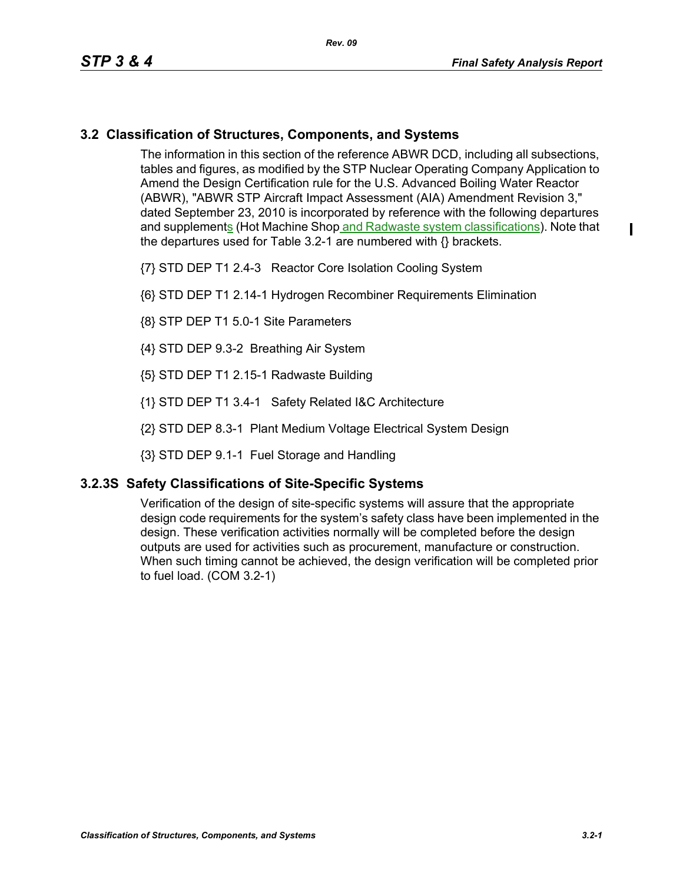$\mathbf I$ 

## **3.2 Classification of Structures, Components, and Systems**

The information in this section of the reference ABWR DCD, including all subsections, tables and figures, as modified by the STP Nuclear Operating Company Application to Amend the Design Certification rule for the U.S. Advanced Boiling Water Reactor (ABWR), "ABWR STP Aircraft Impact Assessment (AIA) Amendment Revision 3," dated September 23, 2010 is incorporated by reference with the following departures and supplements (Hot Machine Shop and Radwaste system classifications). Note that the departures used for Table 3.2-1 are numbered with {} brackets.

- {7} STD DEP T1 2.4-3 Reactor Core Isolation Cooling System
- {6} STD DEP T1 2.14-1 Hydrogen Recombiner Requirements Elimination
- {8} STP DEP T1 5.0-1 Site Parameters
- {4} STD DEP 9.3-2 Breathing Air System
- {5} STD DEP T1 2.15-1 Radwaste Building
- {1} STD DEP T1 3.4-1 Safety Related I&C Architecture
- {2} STD DEP 8.3-1 Plant Medium Voltage Electrical System Design
- {3} STD DEP 9.1-1 Fuel Storage and Handling

## **3.2.3S Safety Classifications of Site-Specific Systems**

Verification of the design of site-specific systems will assure that the appropriate design code requirements for the system's safety class have been implemented in the design. These verification activities normally will be completed before the design outputs are used for activities such as procurement, manufacture or construction. When such timing cannot be achieved, the design verification will be completed prior to fuel load. (COM 3.2-1)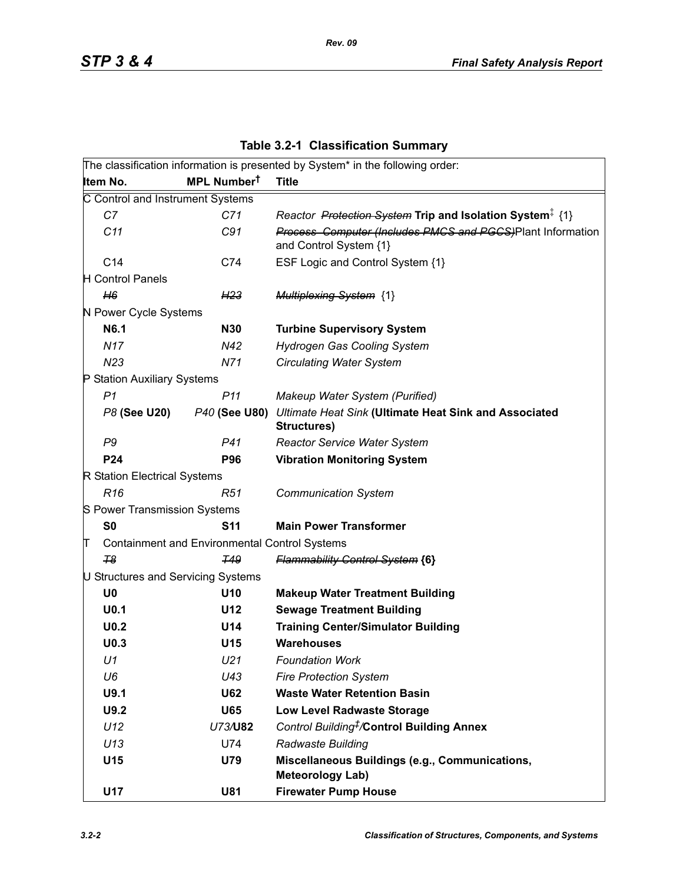|                                    |                                                      | The classification information is presented by System* in the following order:       |
|------------------------------------|------------------------------------------------------|--------------------------------------------------------------------------------------|
| Item No.                           | MPL Number <sup>t</sup>                              | <b>Title</b>                                                                         |
| C Control and Instrument Systems   |                                                      |                                                                                      |
| C7                                 | C71                                                  | Reactor Protection System Trip and Isolation System <sup>‡</sup> {1}                 |
| C11                                | C91                                                  | Process Computer (Includes PMCS and PGCS)Plant Information<br>and Control System {1} |
| C14                                | C74                                                  | ESF Logic and Control System {1}                                                     |
| <b>H</b> Control Panels            |                                                      |                                                                                      |
| H6                                 | H <sub>23</sub>                                      | <b>Multiplexing System {1}</b>                                                       |
| N Power Cycle Systems              |                                                      |                                                                                      |
| N6.1                               | <b>N30</b>                                           | <b>Turbine Supervisory System</b>                                                    |
| <b>N17</b>                         | N42                                                  | <b>Hydrogen Gas Cooling System</b>                                                   |
| N <sub>23</sub>                    | N71                                                  | <b>Circulating Water System</b>                                                      |
| P Station Auxiliary Systems        |                                                      |                                                                                      |
| P <sub>1</sub>                     | P <sub>11</sub>                                      | Makeup Water System (Purified)                                                       |
| P8 (See U20)                       | P40 (See U80)                                        | Ultimate Heat Sink (Ultimate Heat Sink and Associated<br>Structures)                 |
| P9                                 | P41                                                  | <b>Reactor Service Water System</b>                                                  |
| P24                                | <b>P96</b>                                           | <b>Vibration Monitoring System</b>                                                   |
| R Station Electrical Systems       |                                                      |                                                                                      |
| R <sub>16</sub>                    | R51                                                  | <b>Communication System</b>                                                          |
| S Power Transmission Systems       |                                                      |                                                                                      |
| S <sub>0</sub>                     | <b>S11</b>                                           | <b>Main Power Transformer</b>                                                        |
| π                                  | <b>Containment and Environmental Control Systems</b> |                                                                                      |
| T <sub>8</sub>                     | <b>T49</b>                                           | <b>Flammability Control System {6}</b>                                               |
| U Structures and Servicing Systems |                                                      |                                                                                      |
| U <sub>0</sub>                     | U10                                                  | <b>Makeup Water Treatment Building</b>                                               |
| U <sub>0.1</sub>                   | U12                                                  | <b>Sewage Treatment Building</b>                                                     |
| U <sub>0.2</sub>                   | U14                                                  | <b>Training Center/Simulator Building</b>                                            |
| U <sub>0.3</sub>                   | U15                                                  | <b>Warehouses</b>                                                                    |
| U1                                 | U <sub>21</sub>                                      | <b>Foundation Work</b>                                                               |
| U6                                 | U43                                                  | <b>Fire Protection System</b>                                                        |
| U9.1                               | <b>U62</b>                                           | <b>Waste Water Retention Basin</b>                                                   |
| U9.2                               | <b>U65</b>                                           | <b>Low Level Radwaste Storage</b>                                                    |
| U12                                | U73/U82                                              | Control Building <sup>#</sup> /Control Building Annex                                |
| U13                                | U74                                                  | Radwaste Building                                                                    |
| U15                                | U79                                                  | Miscellaneous Buildings (e.g., Communications,<br><b>Meteorology Lab)</b>            |
| U17                                | U81                                                  | <b>Firewater Pump House</b>                                                          |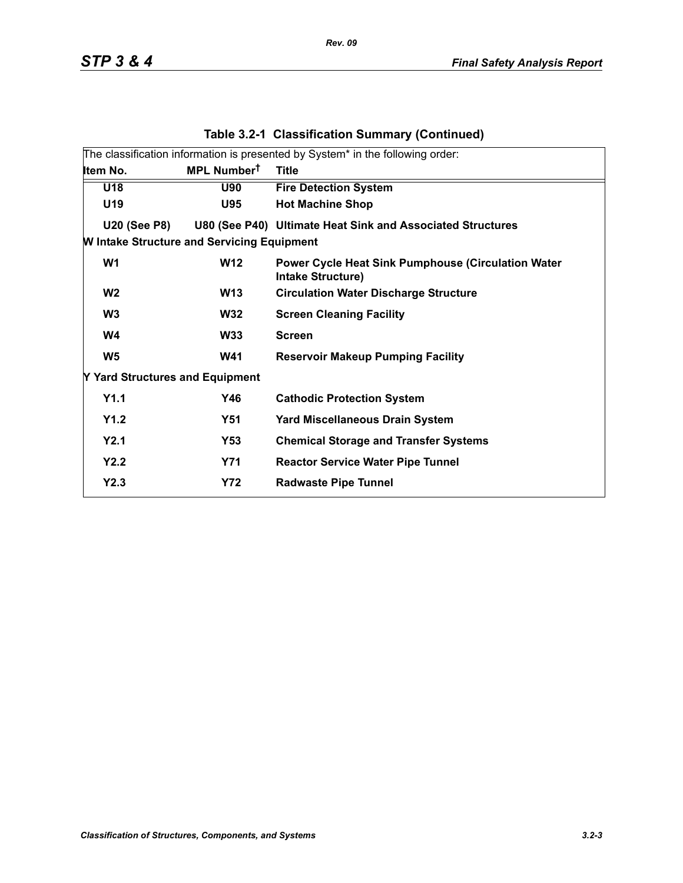|                                                   |                         | The classification information is presented by System* in the following order:        |
|---------------------------------------------------|-------------------------|---------------------------------------------------------------------------------------|
| Item No.                                          | MPL Number <sup>t</sup> | <b>Title</b>                                                                          |
| U18                                               | <b>U90</b>              | <b>Fire Detection System</b>                                                          |
| U19                                               | <b>U95</b>              | <b>Hot Machine Shop</b>                                                               |
| <b>U20 (See P8)</b>                               |                         | U80 (See P40) Ultimate Heat Sink and Associated Structures                            |
| <b>W Intake Structure and Servicing Equipment</b> |                         |                                                                                       |
| W <sub>1</sub>                                    | <b>W12</b>              | <b>Power Cycle Heat Sink Pumphouse (Circulation Water</b><br><b>Intake Structure)</b> |
| W <sub>2</sub>                                    | <b>W13</b>              | <b>Circulation Water Discharge Structure</b>                                          |
| W <sub>3</sub>                                    | <b>W32</b>              | <b>Screen Cleaning Facility</b>                                                       |
| W4                                                | <b>W33</b>              | <b>Screen</b>                                                                         |
| W <sub>5</sub>                                    | <b>W41</b>              | <b>Reservoir Makeup Pumping Facility</b>                                              |
| Y Yard Structures and Equipment                   |                         |                                                                                       |
| Y1.1                                              | Y46                     | <b>Cathodic Protection System</b>                                                     |
| Y1.2                                              | <b>Y51</b>              | <b>Yard Miscellaneous Drain System</b>                                                |
| Y2.1                                              | Y53                     | <b>Chemical Storage and Transfer Systems</b>                                          |
| Y2.2                                              | <b>Y71</b>              | <b>Reactor Service Water Pipe Tunnel</b>                                              |
| Y2.3                                              | <b>Y72</b>              | <b>Radwaste Pipe Tunnel</b>                                                           |
|                                                   |                         |                                                                                       |

## **Table 3.2-1 Classification Summary (Continued)**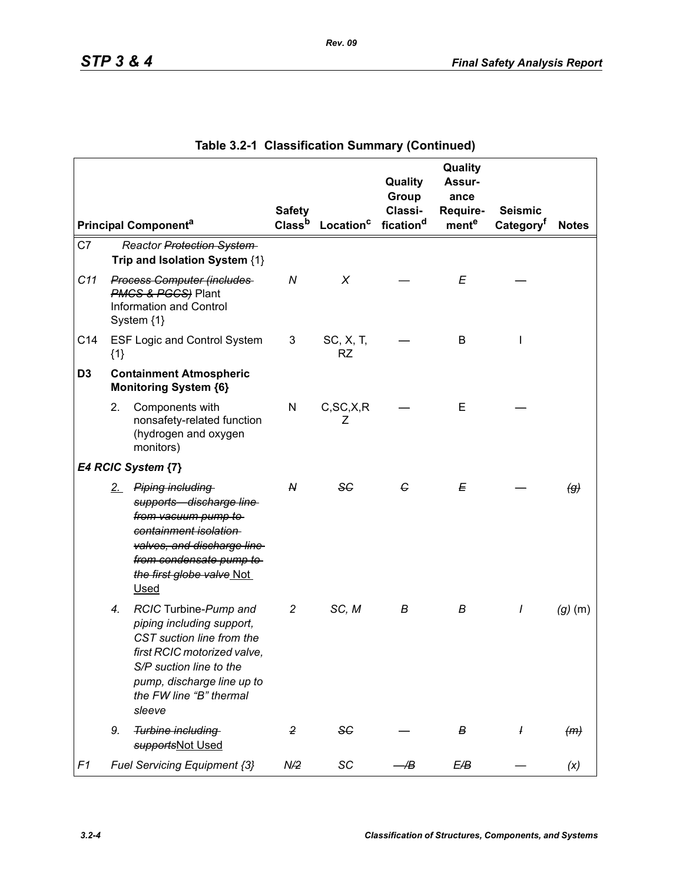|                 |       |                                                                                                                                                                                                              | <b>Safety</b>      |                       | Quality<br>Group<br>Classi- | Quality<br>Assur-<br>ance<br>Require- | <b>Seismic</b>        |                   |
|-----------------|-------|--------------------------------------------------------------------------------------------------------------------------------------------------------------------------------------------------------------|--------------------|-----------------------|-----------------------------|---------------------------------------|-----------------------|-------------------|
|                 |       | <b>Principal Componenta</b>                                                                                                                                                                                  | Class <sup>b</sup> | Location <sup>c</sup> | fication <sup>d</sup>       | mente                                 | Category <sup>f</sup> | <b>Notes</b>      |
| C7              |       | Reactor Protection System<br>Trip and Isolation System {1}                                                                                                                                                   |                    |                       |                             |                                       |                       |                   |
| C11             |       | <b>Process Computer (includes</b><br><b>PMCS &amp; PGCS</b> ) Plant<br><b>Information and Control</b><br>System {1}                                                                                          | N                  | X                     |                             | E                                     |                       |                   |
| C <sub>14</sub> | ${1}$ | <b>ESF Logic and Control System</b>                                                                                                                                                                          | 3                  | SC, X, T,<br>RZ       |                             | B                                     | I                     |                   |
| D <sub>3</sub>  |       | <b>Containment Atmospheric</b><br><b>Monitoring System {6}</b>                                                                                                                                               |                    |                       |                             |                                       |                       |                   |
|                 | 2.    | Components with<br>nonsafety-related function<br>(hydrogen and oxygen<br>monitors)                                                                                                                           | N                  | C, SC, X, R<br>Ζ      |                             | E                                     |                       |                   |
|                 |       | E4 RCIC System {7}                                                                                                                                                                                           |                    |                       |                             |                                       |                       |                   |
|                 | $2-$  | Piping including<br>supports discharge line<br>from vacuum pump to<br>containment isolation<br>valves, and discharge line<br>from condensate pump to<br>the first globe valve Not<br><b>Used</b>             | N                  | SG                    | G                           | Е                                     |                       | $\left( g\right)$ |
|                 | 4.    | RCIC Turbine-Pump and<br>piping including support,<br>CST suction line from the<br>first RCIC motorized valve,<br>S/P suction line to the<br>pump, discharge line up to<br>the FW line "B" thermal<br>sleeve | $\overline{c}$     | SC, M                 | В                           | В                                     | I                     | $(g)$ (m)         |
|                 | 9.    | Turbine including<br>supportsNot Used                                                                                                                                                                        | $\overline{2}$     | <b>SC</b>             |                             | В                                     | $\overline{I}$        | (m)               |
| F1              |       | Fuel Servicing Equipment {3}                                                                                                                                                                                 | N/2                | SC                    | Æ                           | E/B                                   |                       | (x)               |

|  | Table 3.2-1 Classification Summary (Continued) |  |  |
|--|------------------------------------------------|--|--|
|--|------------------------------------------------|--|--|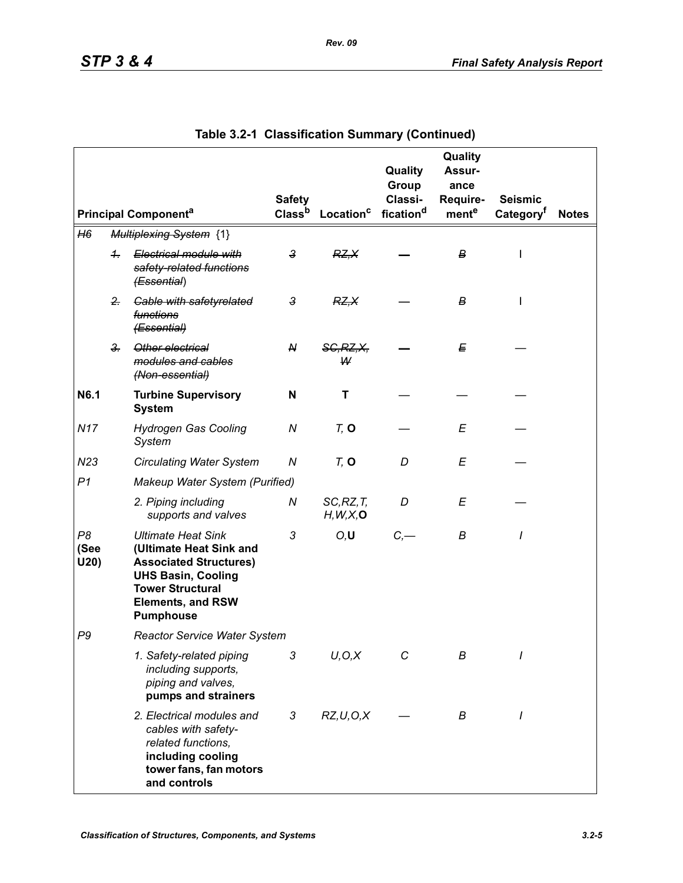|                    |                      |                                                                                                                                                                                               | <b>Safety</b>      |                         | Quality<br>Group<br>Classi- | Quality<br>Assur-<br>ance<br>Require- | <b>Seismic</b>        |              |
|--------------------|----------------------|-----------------------------------------------------------------------------------------------------------------------------------------------------------------------------------------------|--------------------|-------------------------|-----------------------------|---------------------------------------|-----------------------|--------------|
|                    |                      | <b>Principal Componenta</b>                                                                                                                                                                   | Class <sup>b</sup> | Location <sup>c</sup>   | fication <sup>d</sup>       | mente                                 | Category <sup>t</sup> | <b>Notes</b> |
| H6                 |                      | <b>Multiplexing System {1}</b>                                                                                                                                                                |                    |                         |                             |                                       |                       |              |
|                    | $\ddot{\phantom{1}}$ | Electrical module with<br>safety-related functions<br>(Essential)                                                                                                                             | $\mathbf{3}$       | RZ, X                   |                             | В                                     | I                     |              |
|                    | $2 -$                | <b>Gable with safetyrelated</b><br>functions<br>(Essential)                                                                                                                                   | 3                  | RZ.X                    |                             | В                                     | L                     |              |
|                    | $3 -$                | Other electrical<br>modules and cables<br>(Non-essential)                                                                                                                                     | ${\mathsf N}$      | <b>SG, RZ, X,</b><br>W  |                             | E                                     |                       |              |
| N6.1               |                      | <b>Turbine Supervisory</b><br><b>System</b>                                                                                                                                                   | N                  | т                       |                             |                                       |                       |              |
| <b>N17</b>         |                      | <b>Hydrogen Gas Cooling</b><br>System                                                                                                                                                         | ${\cal N}$         | $Tz$ O                  |                             | E                                     |                       |              |
| N23                |                      | <b>Circulating Water System</b>                                                                                                                                                               | Ν                  | $Tz$ O                  | D                           | E                                     |                       |              |
| P <sub>1</sub>     |                      | Makeup Water System (Purified)                                                                                                                                                                |                    |                         |                             |                                       |                       |              |
|                    |                      | 2. Piping including<br>supports and valves                                                                                                                                                    | Ν                  | SC, RZ, T<br>H, W, X, O | D                           | E                                     |                       |              |
| P8<br>(See<br>U20) |                      | <b>Ultimate Heat Sink</b><br>(Ultimate Heat Sink and<br><b>Associated Structures)</b><br><b>UHS Basin, Cooling</b><br><b>Tower Structural</b><br><b>Elements, and RSW</b><br><b>Pumphouse</b> | 3                  | O, U                    | $C, -$                      | B                                     | I                     |              |
| P <sub>9</sub>     |                      | <b>Reactor Service Water System</b>                                                                                                                                                           |                    |                         |                             |                                       |                       |              |
|                    |                      | 1. Safety-related piping<br>including supports,<br>piping and valves,<br>pumps and strainers                                                                                                  | 3                  | U, O, X                 | С                           | В                                     |                       |              |
|                    |                      | 2. Electrical modules and<br>cables with safety-<br>related functions,<br>including cooling<br>tower fans, fan motors<br>and controls                                                         | 3                  | RZ, U, O, X             |                             | В                                     | I                     |              |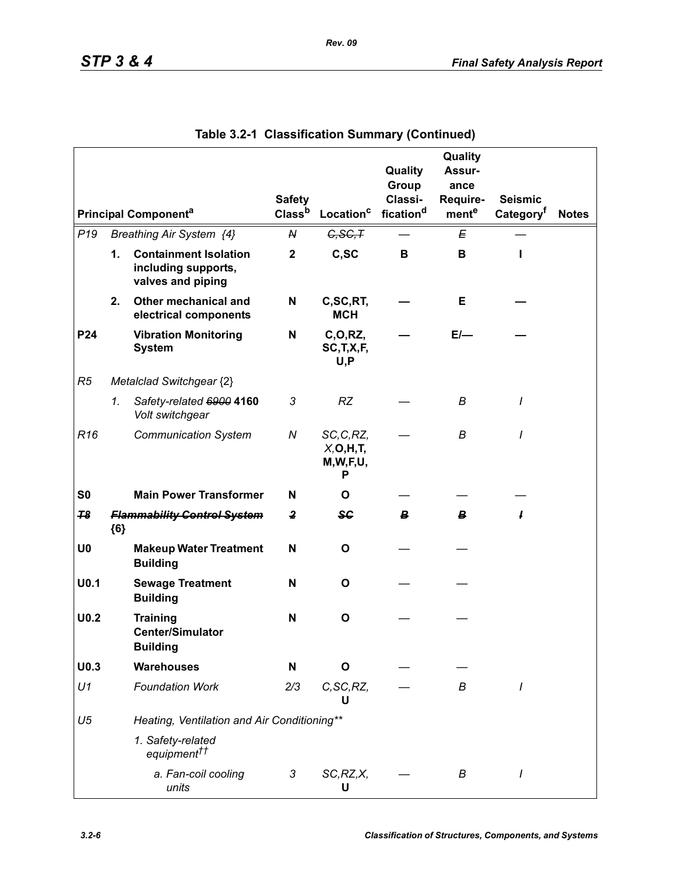|                  |       |                                                                          |                         |                                              | Quality               | Quality<br>Assur- |                       |              |
|------------------|-------|--------------------------------------------------------------------------|-------------------------|----------------------------------------------|-----------------------|-------------------|-----------------------|--------------|
|                  |       |                                                                          |                         |                                              | Group                 | ance              |                       |              |
|                  |       |                                                                          | <b>Safety</b>           |                                              | Classi-               | Require-          | <b>Seismic</b>        |              |
|                  |       | <b>Principal Componenta</b>                                              | Class <sup>b</sup>      | Location <sup>c</sup>                        | fication <sup>d</sup> | mente             | Category <sup>t</sup> | <b>Notes</b> |
| P <sub>19</sub>  |       | Breathing Air System {4}                                                 | N                       | G, SG, T                                     |                       | E                 |                       |              |
|                  | 1.    | <b>Containment Isolation</b><br>including supports,<br>valves and piping | $\mathbf 2$             | C,SC                                         | B                     | В                 | ı                     |              |
|                  | 2.    | Other mechanical and<br>electrical components                            | N                       | C,SC,RT,<br><b>MCH</b>                       |                       | Е                 |                       |              |
| P24              |       | <b>Vibration Monitoring</b><br><b>System</b>                             | N                       | C, O, RZ,<br>SC, T, X, F,<br>U, P            |                       | $E/-$             |                       |              |
| R5               |       | Metalclad Switchgear {2}                                                 |                         |                                              |                       |                   |                       |              |
|                  | 1.    | Safety-related 6900 4160<br>Volt switchgear                              | 3                       | <b>RZ</b>                                    |                       | B                 | I                     |              |
| R <sub>16</sub>  |       | <b>Communication System</b>                                              | N                       | SC, C, RZ,<br>X, O, H, T<br>M, W, F, U,<br>Р |                       | В                 | I                     |              |
| S <sub>0</sub>   |       | <b>Main Power Transformer</b>                                            | N                       | O                                            |                       |                   |                       |              |
| 78               | ${6}$ | <b>Flammability Control System</b>                                       | $\overline{\mathbf{2}}$ | <del>S€</del>                                | В.                    | B                 | ı                     |              |
| U <sub>0</sub>   |       | <b>Makeup Water Treatment</b><br><b>Building</b>                         | N                       | O                                            |                       |                   |                       |              |
| U <sub>0.1</sub> |       | <b>Sewage Treatment</b><br><b>Building</b>                               | N                       | O                                            |                       |                   |                       |              |
| U <sub>0.2</sub> |       | <b>Training</b><br><b>Center/Simulator</b><br><b>Building</b>            | N                       | $\mathbf{o}$                                 |                       |                   |                       |              |
| U <sub>0.3</sub> |       | <b>Warehouses</b>                                                        | N                       | O                                            |                       |                   |                       |              |
| U1               |       | <b>Foundation Work</b>                                                   | 2/3                     | C, SC, RZ,<br>U                              |                       | В                 | I                     |              |
| U <sub>5</sub>   |       | Heating, Ventilation and Air Conditioning**                              |                         |                                              |                       |                   |                       |              |
|                  |       | 1. Safety-related<br>equipment <sup>††</sup>                             |                         |                                              |                       |                   |                       |              |
|                  |       | a. Fan-coil cooling<br>units                                             | 3                       | SC, RZ, X,<br>U                              |                       | В                 |                       |              |

|  | Table 3.2-1 Classification Summary (Continued) |  |  |
|--|------------------------------------------------|--|--|
|--|------------------------------------------------|--|--|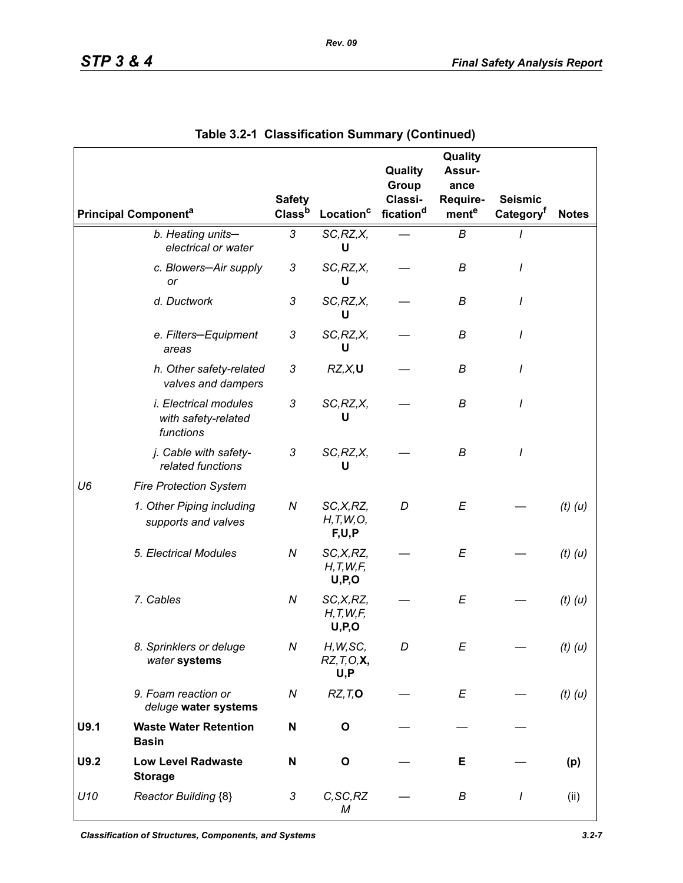|                |                                                                  | <b>Safety</b>             |                                      | Quality<br>Group<br>Classi- | Quality<br>Assur-<br>ance<br>Require- | <b>Seismic</b>        |              |
|----------------|------------------------------------------------------------------|---------------------------|--------------------------------------|-----------------------------|---------------------------------------|-----------------------|--------------|
|                | <b>Principal Componenta</b>                                      | Classb                    | Location <sup>c</sup>                | fication <sup>d</sup>       | ment <sup>e</sup>                     | Category <sup>t</sup> | <b>Notes</b> |
|                | b. Heating units-<br>electrical or water                         | 3                         | SC, RZ, X,<br>U                      |                             | B                                     |                       |              |
|                | c. Blowers-Air supply<br>or                                      | $\sqrt{3}$                | SC, RZ, X,<br>U                      |                             | В                                     | I                     |              |
|                | d. Ductwork                                                      | 3                         | SC, RZ, X,<br>U                      |                             | В                                     | I                     |              |
|                | e. Filters-Equipment<br>areas                                    | 3                         | SC, RZ, X,<br>U                      |                             | В                                     | I                     |              |
|                | h. Other safety-related<br>valves and dampers                    | 3                         | RZ, X, U                             |                             | B                                     | I                     |              |
|                | <i>i. Electrical modules</i><br>with safety-related<br>functions | 3                         | SC, RZ, X,<br>U                      |                             | В                                     | I                     |              |
|                | j. Cable with safety-<br>related functions                       | $\ensuremath{\mathsf{3}}$ | SC, RZ, X,<br>U                      |                             | В                                     | I                     |              |
| U <sub>6</sub> | <b>Fire Protection System</b>                                    |                           |                                      |                             |                                       |                       |              |
|                | 1. Other Piping including<br>supports and valves                 | N                         | SC,X,RZ,<br>H, T, W, O,<br>F,U,P     | D                           | E                                     |                       | $(t)$ $(u)$  |
|                | 5. Electrical Modules                                            | $\boldsymbol{N}$          | SC, X, RZ,<br>H, T, W, F<br>U, P, O  |                             | E                                     |                       | $(t)$ $(u)$  |
|                | 7. Cables                                                        | ${\cal N}$                | SC,X,RZ,<br>H, T, W, F<br>U, P, O    |                             | E                                     |                       | $(t)$ $(u)$  |
|                | 8. Sprinklers or deluge<br>water systems                         | Ν                         | H, W, SC,<br>$RZ, T, O, X$ ,<br>U, P | D                           | Ε                                     |                       | $(t)$ $(u)$  |
|                | 9. Foam reaction or<br>deluge water systems                      | ${\cal N}$                | RZ, T, O                             |                             | E                                     |                       | $(t)$ $(u)$  |
| U9.1           | <b>Waste Water Retention</b><br><b>Basin</b>                     | N                         | O                                    |                             |                                       |                       |              |
| U9.2           | <b>Low Level Radwaste</b><br><b>Storage</b>                      | N                         | $\mathbf{o}$                         |                             | Е                                     |                       | (p)          |
| U10            | Reactor Building {8}                                             | 3                         | C, SC, RZ<br>М                       |                             | В                                     | $\prime$              | (ii)         |

|  | Table 3.2-1 Classification Summary (Continued) |  |  |
|--|------------------------------------------------|--|--|
|--|------------------------------------------------|--|--|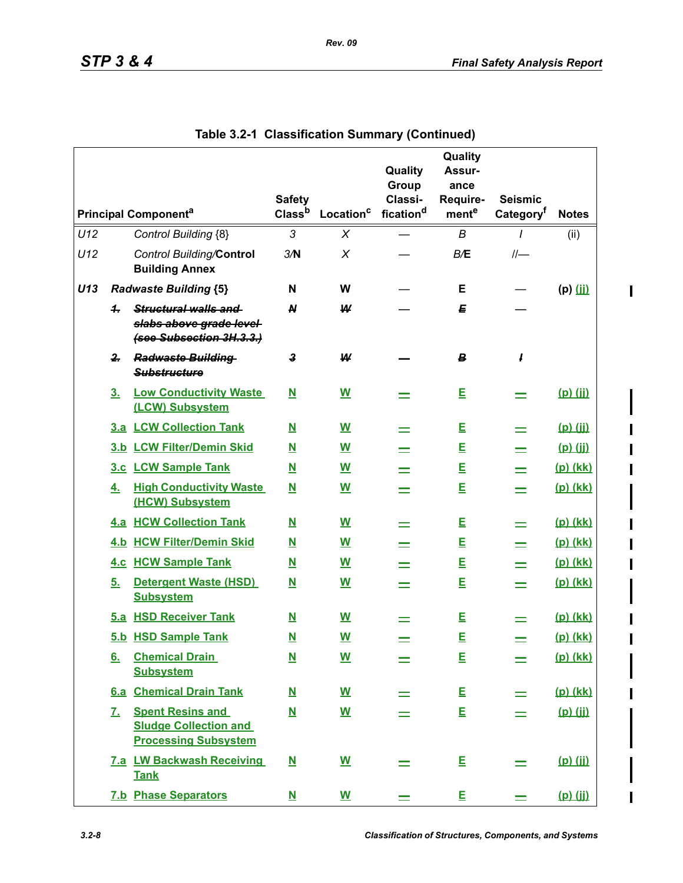$\mathbf I$ 

|     |                |                                                                                        | <b>Safety</b>            |                          | Quality<br>Group<br>Classi- | Quality<br>Assur-<br>ance<br>Require- | <b>Seismic</b>        |              |
|-----|----------------|----------------------------------------------------------------------------------------|--------------------------|--------------------------|-----------------------------|---------------------------------------|-----------------------|--------------|
|     |                | <b>Principal Componenta</b>                                                            | Class <sup>b</sup>       | Location <sup>c</sup>    | fication <sup>d</sup>       | mente                                 | Category <sup>f</sup> | <b>Notes</b> |
| U12 |                | Control Building {8}                                                                   | 3                        | X                        |                             | B                                     | $\prime$              | (ii)         |
| U12 |                | <b>Control Building/Control</b><br><b>Building Annex</b>                               | 3/N                      | X                        |                             | B/E                                   |                       |              |
| U13 |                | <b>Radwaste Building {5}</b>                                                           | N                        | W                        |                             | Е                                     |                       | $(p)$ (ii)   |
|     | 4.             | Structural walls and<br>slabs above grade level-<br>(see Subsection 3H.3.3.)           | $\boldsymbol{M}$         | W                        |                             | Е                                     |                       |              |
|     | $\mathbf{2}$   | <b>Radwaste Building</b><br><b>Substructure</b>                                        | 3                        | ₩                        |                             | В                                     | 1                     |              |
|     | 3 <sub>1</sub> | <b>Low Conductivity Waste</b><br>(LCW) Subsystem                                       | $\overline{\mathbf{N}}$  | W                        |                             | Е                                     |                       | $(p)$ (ii)   |
|     |                | 3.a LCW Collection Tank                                                                | $\mathbf N$              | W                        |                             | E                                     |                       | $(p)$ (ji)   |
|     |                | 3.b LCW Filter/Demin Skid                                                              | N                        | W                        |                             | E                                     |                       | $(p)$ $(ii)$ |
|     |                | 3.c LCW Sample Tank                                                                    | <u>N</u>                 | W                        |                             | E                                     |                       | (p) (kk)     |
|     | <u>4.</u>      | <b>High Conductivity Waste</b><br>(HCW) Subsystem                                      | <u>N</u>                 | W                        |                             | E                                     |                       | (p) (kk)     |
|     | <u>4.a</u>     | <b>HCW Collection Tank</b>                                                             | ${\bf N}$                | <u>W</u>                 |                             | E                                     |                       | (p) (kk)     |
|     | 4.b            | <b>HCW Filter/Demin Skid</b>                                                           | $\mathbf N$              | $\underline{\mathsf{W}}$ |                             | E                                     |                       | (p) (kk)     |
|     |                | <b>4.c HCW Sample Tank</b>                                                             | $\mathbf N$              | W                        | $\equiv$                    | E                                     |                       | (p) (kk)     |
|     | 5.             | <b>Detergent Waste (HSD)</b><br><b>Subsystem</b>                                       | $\overline{\mathbf{N}}$  | $\underline{\mathsf{W}}$ |                             | E                                     |                       | (p) (kk)     |
|     |                | 5.a HSD Receiver Tank                                                                  | $\overline{\mathbf{N}}$  | $\mathbf W$              |                             | E                                     |                       | (p) (kk)     |
|     |                | 5.b HSD Sample Tank                                                                    | <u>N</u>                 | W                        |                             | E                                     |                       | (p) (kk)     |
|     | 6.             | <b>Chemical Drain</b><br><b>Subsystem</b>                                              | $\overline{\mathsf{N}}$  | $\underline{\mathsf{W}}$ |                             | E                                     |                       | (p) (kk)     |
|     | 6.а            | <b>Chemical Drain Tank</b>                                                             | <u>N</u>                 | <u>W</u>                 |                             | E                                     |                       | (p) (kk)     |
|     | <u>7.</u>      | <b>Spent Resins and</b><br><b>Sludge Collection and</b><br><b>Processing Subsystem</b> | $\overline{\mathbf{N}}$  | <u>W</u>                 |                             | E                                     |                       | $(p)$ (ji)   |
|     |                | 7.a LW Backwash Receiving<br><b>Tank</b>                                               | $\underline{\mathbf{N}}$ | $\underline{\mathsf{W}}$ |                             | E                                     |                       | $(p)$ (ji)   |
|     |                | <b>7.b Phase Separators</b>                                                            | $\overline{\mathbf{N}}$  | $\underline{\mathsf{W}}$ |                             | E                                     |                       | $(p)$ (ii)   |

**Table 3.2-1 Classification Summary (Continued)**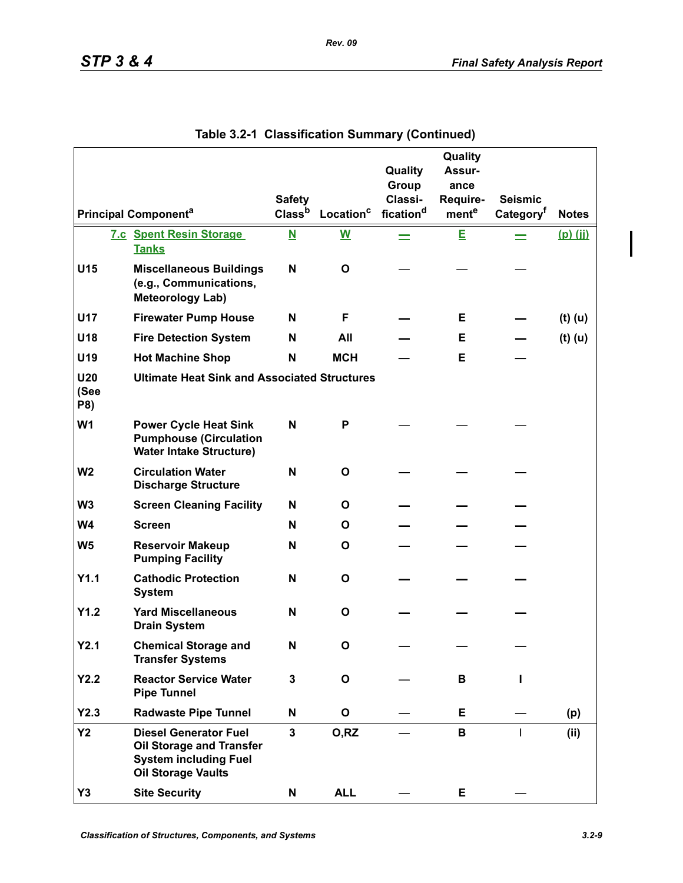|                           |                                                                                                                       |                         |                          | Quality               | Quality<br>Assur- |                       |              |
|---------------------------|-----------------------------------------------------------------------------------------------------------------------|-------------------------|--------------------------|-----------------------|-------------------|-----------------------|--------------|
|                           |                                                                                                                       |                         |                          | Group                 | ance              |                       |              |
|                           |                                                                                                                       | <b>Safety</b>           |                          | Classi-               | Require-          | <b>Seismic</b>        |              |
|                           | <b>Principal Componenta</b>                                                                                           | Class <sup>b</sup>      | Location <sup>c</sup>    | fication <sup>d</sup> | ment <sup>e</sup> | Category <sup>†</sup> | <b>Notes</b> |
|                           | <b>7.c Spent Resin Storage</b><br><b>Tanks</b>                                                                        | $\overline{\mathbf{N}}$ | $\underline{\mathsf{W}}$ | $=$                   | E                 | $=$                   | $(p)$ (jj)   |
| U15                       | <b>Miscellaneous Buildings</b><br>(e.g., Communications,<br><b>Meteorology Lab)</b>                                   | N                       | O                        |                       |                   |                       |              |
| U17                       | <b>Firewater Pump House</b>                                                                                           | N                       | F                        |                       | Е                 |                       | $(t)$ (u)    |
| U18                       | <b>Fire Detection System</b>                                                                                          | N                       | All                      |                       | Е                 |                       | $(t)$ (u)    |
| U19                       | <b>Hot Machine Shop</b>                                                                                               | N                       | <b>MCH</b>               |                       | Е                 |                       |              |
| <b>U20</b><br>(See<br>P8) | <b>Ultimate Heat Sink and Associated Structures</b>                                                                   |                         |                          |                       |                   |                       |              |
| W <sub>1</sub>            | <b>Power Cycle Heat Sink</b><br><b>Pumphouse (Circulation</b><br><b>Water Intake Structure)</b>                       | N                       | P                        |                       |                   |                       |              |
| W <sub>2</sub>            | <b>Circulation Water</b><br><b>Discharge Structure</b>                                                                | N                       | O                        |                       |                   |                       |              |
| W <sub>3</sub>            | <b>Screen Cleaning Facility</b>                                                                                       | N                       | O                        |                       |                   |                       |              |
| <b>W4</b>                 | <b>Screen</b>                                                                                                         | N                       | O                        |                       |                   |                       |              |
| W <sub>5</sub>            | <b>Reservoir Makeup</b><br><b>Pumping Facility</b>                                                                    | N                       | O                        |                       |                   |                       |              |
| Y1.1                      | <b>Cathodic Protection</b><br><b>System</b>                                                                           | N                       | O                        |                       |                   |                       |              |
| Y1.2                      | <b>Yard Miscellaneous</b><br><b>Drain System</b>                                                                      | N                       | O                        |                       |                   |                       |              |
| Y2.1                      | <b>Chemical Storage and</b><br><b>Transfer Systems</b>                                                                | N                       | О                        |                       |                   |                       |              |
| Y2.2                      | <b>Reactor Service Water</b><br><b>Pipe Tunnel</b>                                                                    | 3                       | O                        |                       | В                 | L                     |              |
| Y2.3                      | <b>Radwaste Pipe Tunnel</b>                                                                                           | N                       | O                        |                       | Е                 |                       | (p)          |
| <b>Y2</b>                 | <b>Diesel Generator Fuel</b><br>Oil Storage and Transfer<br><b>System including Fuel</b><br><b>Oil Storage Vaults</b> | $\mathbf{3}$            | O,RZ                     |                       | В                 | $\mathbf{I}$          | (ii)         |
| Y3                        | <b>Site Security</b>                                                                                                  | Ν                       | <b>ALL</b>               |                       | E                 |                       |              |

| Table 3.2-1 Classification Summary (Continued) |  |  |
|------------------------------------------------|--|--|
|                                                |  |  |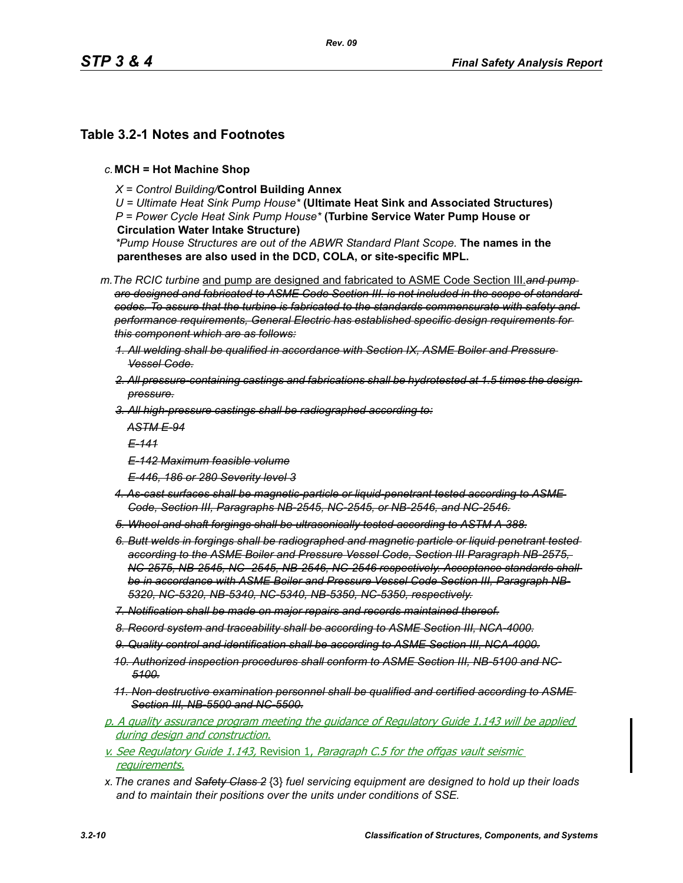## **Table 3.2-1 Notes and Footnotes**

- *c.***MCH = Hot Machine Shop**
	- *X = Control Building/***Control Building Annex**

*U = Ultimate Heat Sink Pump House\** **(Ultimate Heat Sink and Associated Structures)** *P = Power Cycle Heat Sink Pump House\** **(Turbine Service Water Pump House or Circulation Water Intake Structure)**

*\*Pump House Structures are out of the ABWR Standard Plant Scope.* **The names in the parentheses are also used in the DCD, COLA, or site-specific MPL.**

*m.The RCIC turbine* and pump are designed and fabricated to ASME Code Section III.*and pump are designed and fabricated to ASME Code Section III. is not included in the scope of standard codes. To assure that the turbine is fabricated to the standards commensurate with safety and performance requirements, General Electric has established specific design requirements for this component which are as follows:*

- *1. All welding shall be qualified in accordance with Section IX, ASME Boiler and Pressure Vessel Code.*
- *2. All pressure-containing castings and fabrications shall be hydrotested at 1.5 times the design pressure.*
- *3. All high-pressure castings shall be radiographed according to:*

*ASTM E-94*

*E-141*

- *E-142 Maximum feasible volume*
- *E-446, 186 or 280 Severity level 3*
- *4. As-cast surfaces shall be magnetic-particle or liquid-penetrant tested according to ASME Code, Section III, Paragraphs NB-2545, NC-2545, or NB-2546, and NC-2546.*
- *5. Wheel and shaft forgings shall be ultrasonically tested according to ASTM A-388.*
- *6. Butt welds in forgings shall be radiographed and magnetic particle or liquid penetrant tested according to the ASME Boiler and Pressure Vessel Code, Section III Paragraph NB-2575, NC-2575, NB-2545, NC- 2545, NB-2546, NC-2546 respectively. Acceptance standards shall be in accordance with ASME Boiler and Pressure Vessel Code Section III, Paragraph NB-5320, NC-5320, NB-5340, NC-5340, NB-5350, NC-5350, respectively.*
- *7. Notification shall be made on major repairs and records maintained thereof.*
- *8. Record system and traceability shall be according to ASME Section III, NCA-4000.*
- *9. Quality control and identification shall be according to ASME Section III, NCA-4000.*
- *10. Authorized inspection procedures shall conform to ASME Section III, NB-5100 and NC-5100.*
- *11. Non-destructive examination personnel shall be qualified and certified according to ASME Section III, NB-5500 and NC-5500.*
- p. A quality assurance program meeting the guidance of Regulatory Guide 1.143 will be applied during design and construction.
- v. See Regulatory Guide 1.143, Revision 1, Paragraph C.5 for the offgas vault seismic requirements.
- *x.The cranes and Safety Class 2* {3} *fuel servicing equipment are designed to hold up their loads and to maintain their positions over the units under conditions of SSE.*